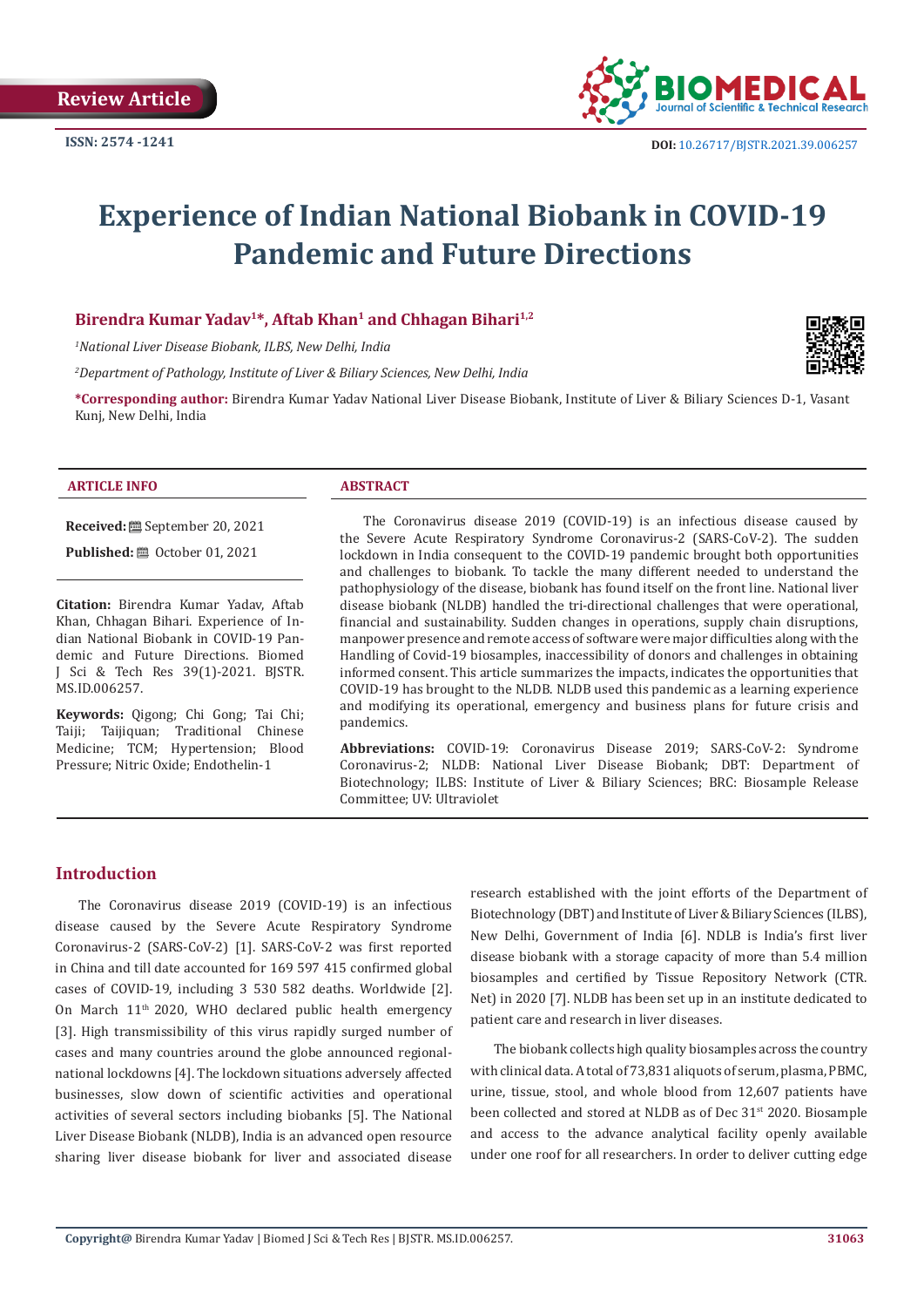

# **Experience of Indian National Biobank in COVID-19 Pandemic and Future Directions**

#### Birendra Kumar Yadav<sup>1\*</sup>, Aftab Khan<sup>1</sup> and Chhagan Bihari<sup>1,2</sup>

*1 National Liver Disease Biobank, ILBS, New Delhi, India*

*2 Department of Pathology, Institute of Liver & Biliary Sciences, New Delhi, India*

**\*Corresponding author:** Birendra Kumar Yadav National Liver Disease Biobank, Institute of Liver & Biliary Sciences D-1, Vasant Kunj, New Delhi, India

#### **ARTICLE INFO ABSTRACT**

**Received:** September 20, 2021

**Published:** ■ October 01, 2021

**Citation:** Birendra Kumar Yadav, Aftab Khan, Chhagan Bihari. Experience of Indian National Biobank in COVID-19 Pandemic and Future Directions. Biomed J Sci & Tech Res 39(1)-2021. BJSTR. MS.ID.006257.

**Keywords:** Qigong; Chi Gong; Tai Chi; Taiji; Taijiquan; Traditional Chinese Medicine; TCM; Hypertension; Blood Pressure; Nitric Oxide; Endothelin-1

The Coronavirus disease 2019 (COVID-19) is an infectious disease caused by the Severe Acute Respiratory Syndrome Coronavirus-2 (SARS-CoV-2). The sudden lockdown in India consequent to the COVID-19 pandemic brought both opportunities and challenges to biobank. To tackle the many different needed to understand the pathophysiology of the disease, biobank has found itself on the front line. National liver disease biobank (NLDB) handled the tri-directional challenges that were operational, financial and sustainability. Sudden changes in operations, supply chain disruptions, manpower presence and remote access of software were major difficulties along with the Handling of Covid-19 biosamples, inaccessibility of donors and challenges in obtaining informed consent. This article summarizes the impacts, indicates the opportunities that COVID-19 has brought to the NLDB. NLDB used this pandemic as a learning experience and modifying its operational, emergency and business plans for future crisis and pandemics.

**Abbreviations:** COVID-19: Coronavirus Disease 2019; SARS-CoV-2: Syndrome Coronavirus-2; NLDB: National Liver Disease Biobank; DBT: Department of Biotechnology; ILBS: Institute of Liver & Biliary Sciences; BRC: Biosample Release Committee; UV: Ultraviolet

#### **Introduction**

The Coronavirus disease 2019 (COVID-19) is an infectious disease caused by the Severe Acute Respiratory Syndrome Coronavirus-2 (SARS-CoV-2) [1]. SARS-CoV-2 was first reported in China and till date accounted for 169 597 415 confirmed global cases of COVID-19, including 3 530 582 deaths. Worldwide [2]. On March 11<sup>th</sup> 2020, WHO declared public health emergency [3]. High transmissibility of this virus rapidly surged number of cases and many countries around the globe announced regionalnational lockdowns [4]. The lockdown situations adversely affected businesses, slow down of scientific activities and operational activities of several sectors including biobanks [5]. The National Liver Disease Biobank (NLDB), India is an advanced open resource sharing liver disease biobank for liver and associated disease

research established with the joint efforts of the Department of Biotechnology (DBT) and Institute of Liver & Biliary Sciences (ILBS), New Delhi, Government of India [6]. NDLB is India's first liver disease biobank with a storage capacity of more than 5.4 million biosamples and certified by Tissue Repository Network (CTR. Net) in 2020 [7]. NLDB has been set up in an institute dedicated to patient care and research in liver diseases.

The biobank collects high quality biosamples across the country with clinical data. A total of 73,831 aliquots of serum, plasma, PBMC, urine, tissue, stool, and whole blood from 12,607 patients have been collected and stored at NLDB as of Dec 31<sup>st</sup> 2020. Biosample and access to the advance analytical facility openly available under one roof for all researchers. In order to deliver cutting edge

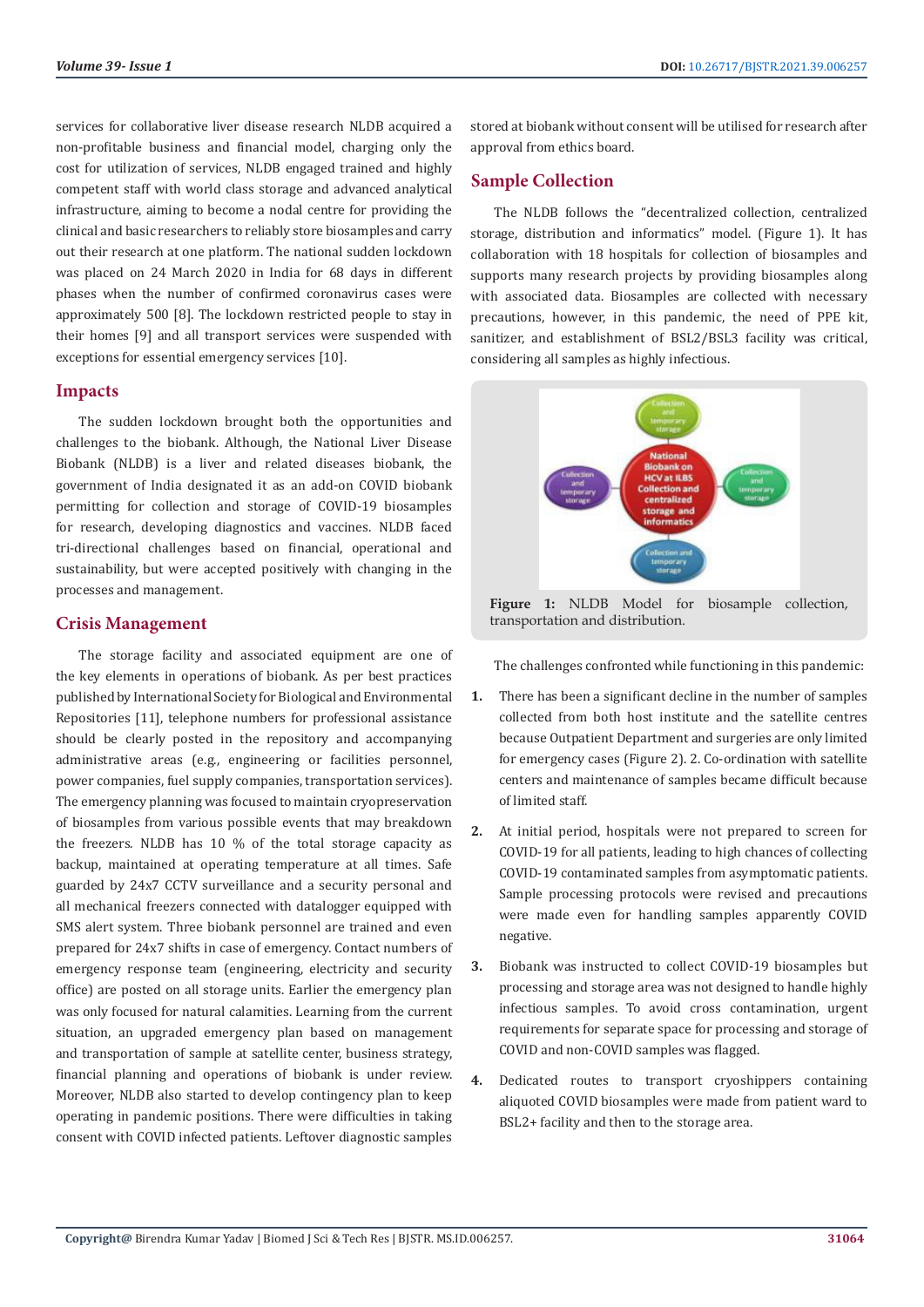services for collaborative liver disease research NLDB acquired a non-profitable business and financial model, charging only the cost for utilization of services, NLDB engaged trained and highly competent staff with world class storage and advanced analytical infrastructure, aiming to become a nodal centre for providing the clinical and basic researchers to reliably store biosamples and carry out their research at one platform. The national sudden lockdown was placed on 24 March 2020 in India for 68 days in different phases when the number of confirmed coronavirus cases were approximately 500 [8]. The lockdown restricted people to stay in their homes [9] and all transport services were suspended with exceptions for essential emergency services [10].

#### **Impacts**

The sudden lockdown brought both the opportunities and challenges to the biobank. Although, the National Liver Disease Biobank (NLDB) is a liver and related diseases biobank, the government of India designated it as an add-on COVID biobank permitting for collection and storage of COVID-19 biosamples for research, developing diagnostics and vaccines. NLDB faced tri-directional challenges based on financial, operational and sustainability, but were accepted positively with changing in the processes and management.

### **Crisis Management**

The storage facility and associated equipment are one of the key elements in operations of biobank. As per best practices published by International Society for Biological and Environmental Repositories [11], telephone numbers for professional assistance should be clearly posted in the repository and accompanying administrative areas (e.g., engineering or facilities personnel, power companies, fuel supply companies, transportation services). The emergency planning was focused to maintain cryopreservation of biosamples from various possible events that may breakdown the freezers. NLDB has 10 % of the total storage capacity as backup, maintained at operating temperature at all times. Safe guarded by 24x7 CCTV surveillance and a security personal and all mechanical freezers connected with datalogger equipped with SMS alert system. Three biobank personnel are trained and even prepared for 24x7 shifts in case of emergency. Contact numbers of emergency response team (engineering, electricity and security office) are posted on all storage units. Earlier the emergency plan was only focused for natural calamities. Learning from the current situation, an upgraded emergency plan based on management and transportation of sample at satellite center, business strategy, financial planning and operations of biobank is under review. Moreover, NLDB also started to develop contingency plan to keep operating in pandemic positions. There were difficulties in taking consent with COVID infected patients. Leftover diagnostic samples

stored at biobank without consent will be utilised for research after approval from ethics board.

### **Sample Collection**

The NLDB follows the "decentralized collection, centralized storage, distribution and informatics" model. (Figure 1). It has collaboration with 18 hospitals for collection of biosamples and supports many research projects by providing biosamples along with associated data. Biosamples are collected with necessary precautions, however, in this pandemic, the need of PPE kit, sanitizer, and establishment of BSL2/BSL3 facility was critical, considering all samples as highly infectious.



**Figure 1:** NLDB Model for biosample collection, transportation and distribution.

The challenges confronted while functioning in this pandemic:

- **1.** There has been a significant decline in the number of samples collected from both host institute and the satellite centres because Outpatient Department and surgeries are only limited for emergency cases (Figure 2). 2. Co-ordination with satellite centers and maintenance of samples became difficult because of limited staff.
- **2.** At initial period, hospitals were not prepared to screen for COVID-19 for all patients, leading to high chances of collecting COVID-19 contaminated samples from asymptomatic patients. Sample processing protocols were revised and precautions were made even for handling samples apparently COVID negative.
- **3.** Biobank was instructed to collect COVID-19 biosamples but processing and storage area was not designed to handle highly infectious samples. To avoid cross contamination, urgent requirements for separate space for processing and storage of COVID and non-COVID samples was flagged.
- **4.** Dedicated routes to transport cryoshippers containing aliquoted COVID biosamples were made from patient ward to BSL2+ facility and then to the storage area.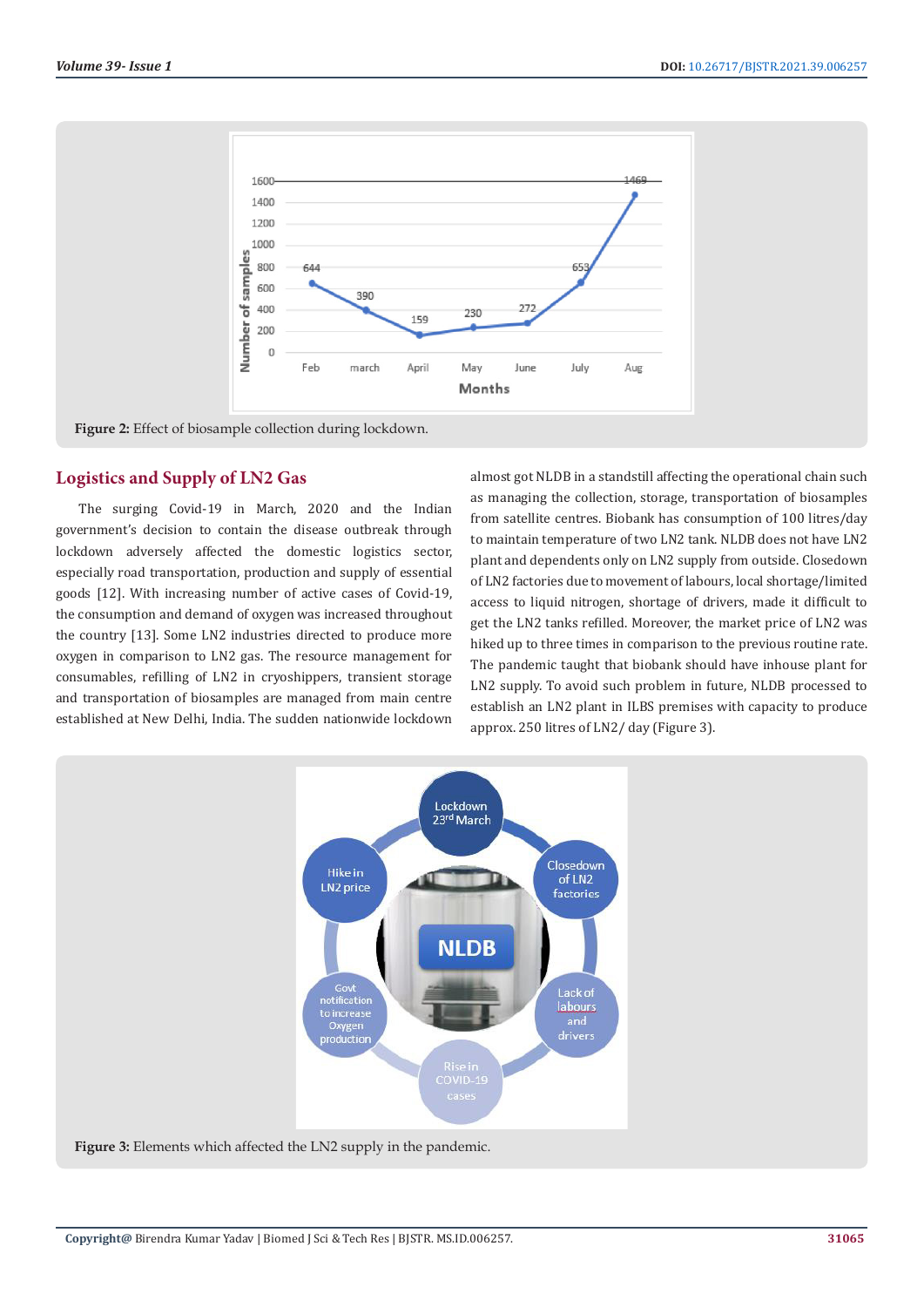

**Figure 2:** Effect of biosample collection during lockdown.

## **Logistics and Supply of LN2 Gas**

The surging Covid-19 in March, 2020 and the Indian government's decision to contain the disease outbreak through lockdown adversely affected the domestic logistics sector, especially road transportation, production and supply of essential goods [12]. With increasing number of active cases of Covid-19, the consumption and demand of oxygen was increased throughout the country [13]. Some LN2 industries directed to produce more oxygen in comparison to LN2 gas. The resource management for consumables, refilling of LN2 in cryoshippers, transient storage and transportation of biosamples are managed from main centre established at New Delhi, India. The sudden nationwide lockdown

almost got NLDB in a standstill affecting the operational chain such as managing the collection, storage, transportation of biosamples from satellite centres. Biobank has consumption of 100 litres/day to maintain temperature of two LN2 tank. NLDB does not have LN2 plant and dependents only on LN2 supply from outside. Closedown of LN2 factories due to movement of labours, local shortage/limited access to liquid nitrogen, shortage of drivers, made it difficult to get the LN2 tanks refilled. Moreover, the market price of LN2 was hiked up to three times in comparison to the previous routine rate. The pandemic taught that biobank should have inhouse plant for LN2 supply. To avoid such problem in future, NLDB processed to establish an LN2 plant in ILBS premises with capacity to produce approx. 250 litres of LN2/ day (Figure 3).

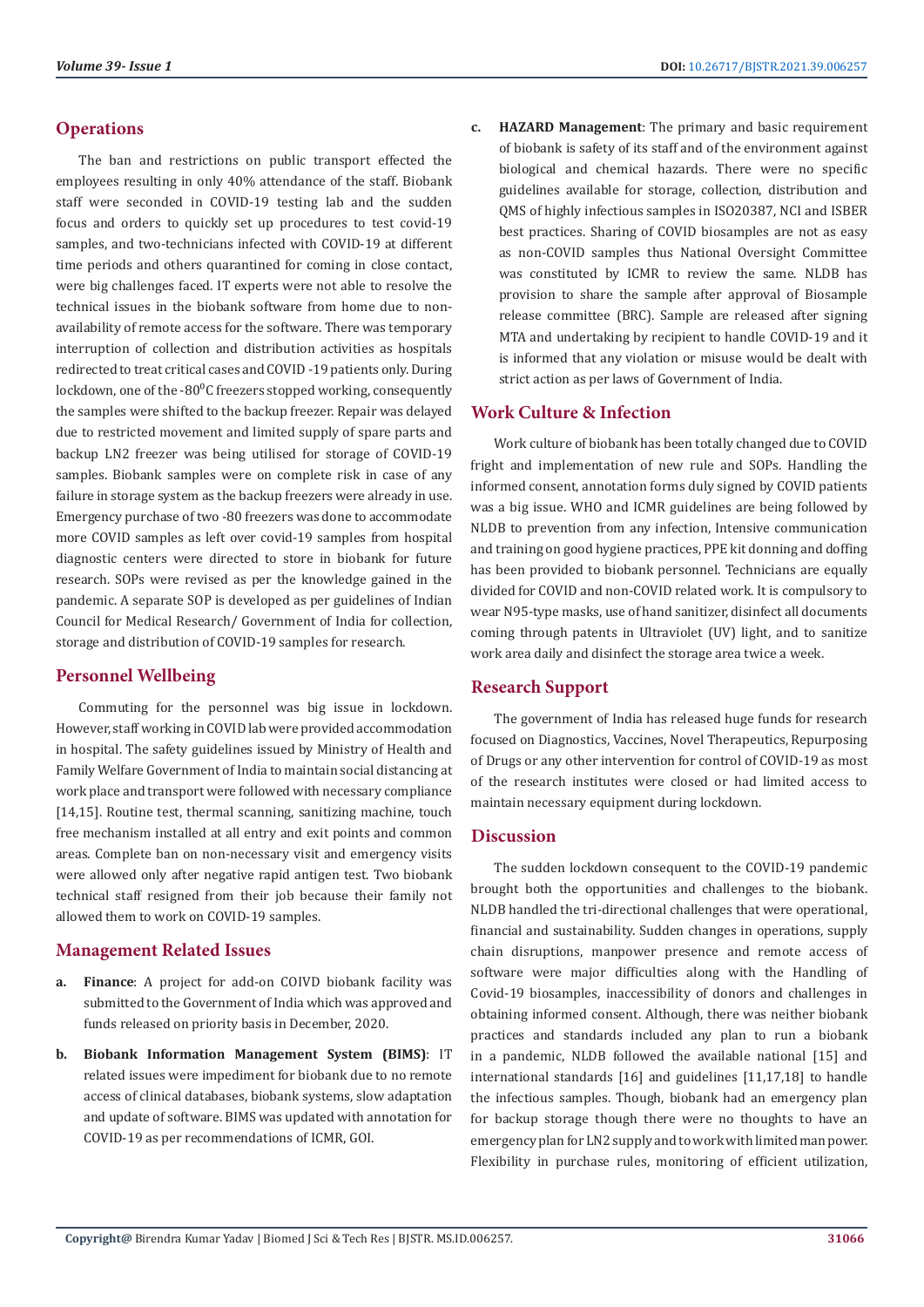#### **Operations**

The ban and restrictions on public transport effected the employees resulting in only 40% attendance of the staff. Biobank staff were seconded in COVID-19 testing lab and the sudden focus and orders to quickly set up procedures to test covid-19 samples, and two-technicians infected with COVID-19 at different time periods and others quarantined for coming in close contact, were big challenges faced. IT experts were not able to resolve the technical issues in the biobank software from home due to nonavailability of remote access for the software. There was temporary interruption of collection and distribution activities as hospitals redirected to treat critical cases and COVID -19 patients only. During lockdown, one of the -80 $^{\circ}$ C freezers stopped working, consequently the samples were shifted to the backup freezer. Repair was delayed due to restricted movement and limited supply of spare parts and backup LN2 freezer was being utilised for storage of COVID-19 samples. Biobank samples were on complete risk in case of any failure in storage system as the backup freezers were already in use. Emergency purchase of two -80 freezers was done to accommodate more COVID samples as left over covid-19 samples from hospital diagnostic centers were directed to store in biobank for future research. SOPs were revised as per the knowledge gained in the pandemic. A separate SOP is developed as per guidelines of Indian Council for Medical Research/ Government of India for collection, storage and distribution of COVID-19 samples for research.

### **Personnel Wellbeing**

Commuting for the personnel was big issue in lockdown. However, staff working in COVID lab were provided accommodation in hospital. The safety guidelines issued by Ministry of Health and Family Welfare Government of India to maintain social distancing at work place and transport were followed with necessary compliance [14,15]. Routine test, thermal scanning, sanitizing machine, touch free mechanism installed at all entry and exit points and common areas. Complete ban on non-necessary visit and emergency visits were allowed only after negative rapid antigen test. Two biobank technical staff resigned from their job because their family not allowed them to work on COVID-19 samples.

### **Management Related Issues**

- **a. Finance**: A project for add-on COIVD biobank facility was submitted to the Government of India which was approved and funds released on priority basis in December, 2020.
- **b. Biobank Information Management System (BIMS)**: IT related issues were impediment for biobank due to no remote access of clinical databases, biobank systems, slow adaptation and update of software. BIMS was updated with annotation for COVID-19 as per recommendations of ICMR, GOI.

**c. HAZARD Management**: The primary and basic requirement of biobank is safety of its staff and of the environment against biological and chemical hazards. There were no specific guidelines available for storage, collection, distribution and QMS of highly infectious samples in ISO20387, NCI and ISBER best practices. Sharing of COVID biosamples are not as easy as non-COVID samples thus National Oversight Committee was constituted by ICMR to review the same. NLDB has provision to share the sample after approval of Biosample release committee (BRC). Sample are released after signing MTA and undertaking by recipient to handle COVID-19 and it is informed that any violation or misuse would be dealt with strict action as per laws of Government of India.

### **Work Culture & Infection**

Work culture of biobank has been totally changed due to COVID fright and implementation of new rule and SOPs. Handling the informed consent, annotation forms duly signed by COVID patients was a big issue. WHO and ICMR guidelines are being followed by NLDB to prevention from any infection, Intensive communication and training on good hygiene practices, PPE kit donning and doffing has been provided to biobank personnel. Technicians are equally divided for COVID and non-COVID related work. It is compulsory to wear N95-type masks, use of hand sanitizer, disinfect all documents coming through patents in Ultraviolet (UV) light, and to sanitize work area daily and disinfect the storage area twice a week.

### **Research Support**

The government of India has released huge funds for research focused on Diagnostics, Vaccines, Novel Therapeutics, Repurposing of Drugs or any other intervention for control of COVID-19 as most of the research institutes were closed or had limited access to maintain necessary equipment during lockdown.

### **Discussion**

The sudden lockdown consequent to the COVID-19 pandemic brought both the opportunities and challenges to the biobank. NLDB handled the tri-directional challenges that were operational, financial and sustainability. Sudden changes in operations, supply chain disruptions, manpower presence and remote access of software were major difficulties along with the Handling of Covid-19 biosamples, inaccessibility of donors and challenges in obtaining informed consent. Although, there was neither biobank practices and standards included any plan to run a biobank in a pandemic, NLDB followed the available national [15] and international standards [16] and guidelines [11,17,18] to handle the infectious samples. Though, biobank had an emergency plan for backup storage though there were no thoughts to have an emergency plan for LN2 supply and to work with limited man power. Flexibility in purchase rules, monitoring of efficient utilization,